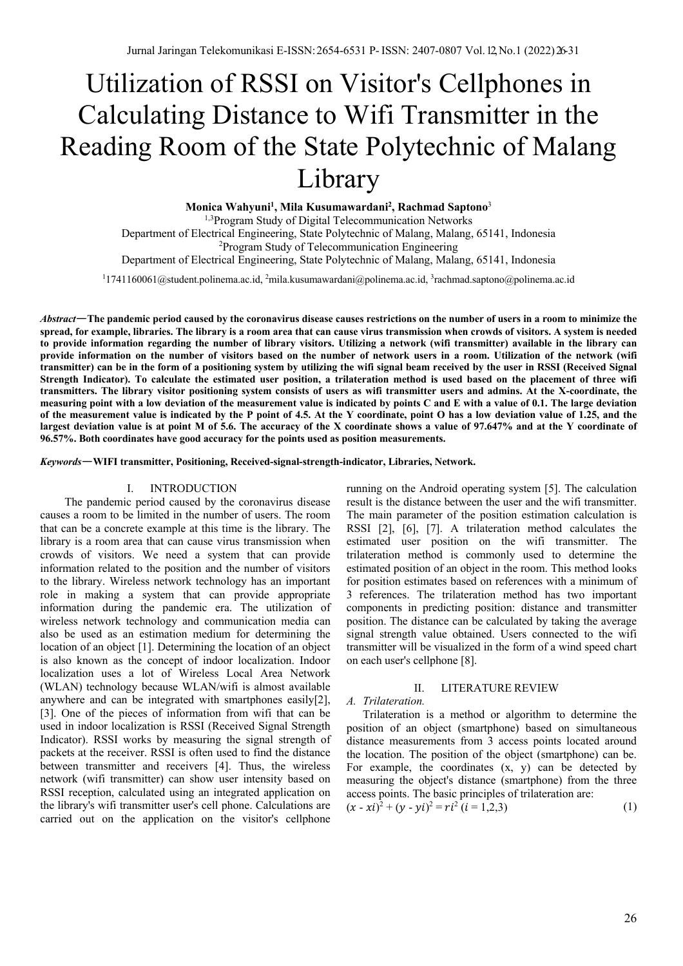# Utilization of RSSI on Visitor's Cellphones in Calculating Distance to Wifi Transmitter in the Reading Room of the State Polytechnic of Malang Library

**Monica Wahyuni1 , Mila Kusumawardani2 , Rachmad Saptono**<sup>3</sup>

<sup>1,3</sup> Program Study of Digital Telecommunication Networks

Department of Electrical Engineering, State Polytechnic of Malang, Malang, 65141, Indonesia <sup>2</sup>Program Study of Telecommunication Engineering

Department of Electrical Engineering, State Polytechnic of Malang, Malang, 65141, Indonesia

1 1741160061@student.polinema.ac.id, 2 mila.kusumawardani@polinema.ac.id, 3 rachmad.saptono@polinema.ac.id

*Abstract*—**The pandemic period caused by the coronavirus disease causes restrictions on the number of users in a room to minimize the spread, for example, libraries. The library is a room area that can cause virus transmission when crowds of visitors. A system is needed to provide information regarding the number of library visitors. Utilizing a network (wifi transmitter) available in the library can provide information on the number of visitors based on the number of network users in a room. Utilization of the network (wifi transmitter) can be in the form of a positioning system by utilizing the wifi signal beam received by the user in RSSI (Received Signal Strength Indicator). To calculate the estimated user position, a trilateration method is used based on the placement of three wifi transmitters. The library visitor positioning system consists of users as wifi transmitter users and admins. At the X-coordinate, the measuring point with a low deviation of the measurement value is indicated by points C and E with a value of 0.1. The large deviation of the measurement value is indicated by the P point of 4.5. At the Y coordinate, point O has a low deviation value of 1.25, and the largest deviation value is at point M of 5.6. The accuracy of the X coordinate shows a value of 97.647% and at the Y coordinate of 96.57%. Both coordinates have good accuracy for the points used as position measurements.**

*Keywords*—**WIFI transmitter, Positioning, Received-signal-strength-indicator, Libraries, Network.**

#### I. INTRODUCTION

The pandemic period caused by the coronavirus disease causes a room to be limited in the number of users. The room that can be a concrete example at this time is the library. The library is a room area that can cause virus transmission when crowds of visitors. We need a system that can provide information related to the position and the number of visitors to the library. Wireless network technology has an important role in making a system that can provide appropriate information during the pandemic era. The utilization of wireless network technology and communication media can also be used as an estimation medium for determining the location of an object [1]. Determining the location of an object is also known as the concept of indoor localization. Indoor localization uses a lot of Wireless Local Area Network (WLAN) technology because WLAN/wifi is almost available anywhere and can be integrated with smartphones easily[2], [3]. One of the pieces of information from wifi that can be used in indoor localization is RSSI (Received Signal Strength Indicator). RSSI works by measuring the signal strength of packets at the receiver. RSSI is often used to find the distance between transmitter and receivers [4]. Thus, the wireless network (wifi transmitter) can show user intensity based on RSSI reception, calculated using an integrated application on the library's wifi transmitter user's cell phone. Calculations are carried out on the application on the visitor's cellphone

running on the Android operating system [5]. The calculation result is the distance between the user and the wifi transmitter. The main parameter of the position estimation calculation is RSSI [2], [6], [7]. A trilateration method calculates the estimated user position on the wifi transmitter. The trilateration method is commonly used to determine the estimated position of an object in the room. This method looks for position estimates based on references with a minimum of 3 references. The trilateration method has two important components in predicting position: distance and transmitter position. The distance can be calculated by taking the average signal strength value obtained. Users connected to the wifi transmitter will be visualized in the form of a wind speed chart on each user's cellphone [8].

# II. LITERATURE REVIEW

# *A. Trilateration.*

Trilateration is a method or algorithm to determine the position of an object (smartphone) based on simultaneous distance measurements from 3 access points located around the location. The position of the object (smartphone) can be. For example, the coordinates  $(x, y)$  can be detected by measuring the object's distance (smartphone) from the three access points. The basic principles of trilateration are:

$$
(x - xi)2 + (y - yi)2 = ri2 (i = 1,2,3)
$$
 (1)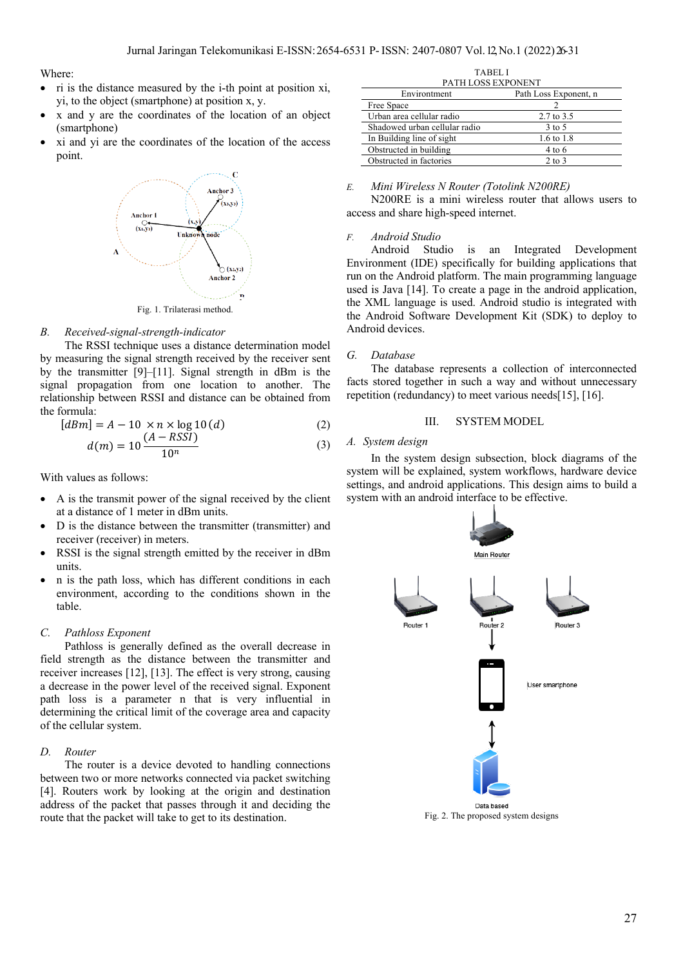Where:

- ri is the distance measured by the i-th point at position xi, yi, to the object (smartphone) at position x, y.
- x and y are the coordinates of the location of an object (smartphone)
- xi and yi are the coordinates of the location of the access point.



## *B. Received-signal-strength-indicator*

The RSSI technique uses a distance determination model by measuring the signal strength received by the receiver sent by the transmitter [9]–[11]. Signal strength in dBm is the signal propagation from one location to another. The relationship between RSSI and distance can be obtained from the formula:

$$
[dBm] = A - 10 \times n \times \log 10(d)
$$
 (2)

$$
d(m) = 10 \frac{(A - RSSI)}{10^n}
$$
 (3)

With values as follows:

- A is the transmit power of the signal received by the client at a distance of 1 meter in dBm units.
- D is the distance between the transmitter (transmitter) and receiver (receiver) in meters.
- RSSI is the signal strength emitted by the receiver in dBm units.
- n is the path loss, which has different conditions in each environment, according to the conditions shown in the table.

## *C. Pathloss Exponent*

Pathloss is generally defined as the overall decrease in field strength as the distance between the transmitter and receiver increases [12], [13]. The effect is very strong, causing a decrease in the power level of the received signal. Exponent path loss is a parameter n that is very influential in determining the critical limit of the coverage area and capacity of the cellular system.

## *D. Router*

The router is a device devoted to handling connections between two or more networks connected via packet switching [4]. Routers work by looking at the origin and destination address of the packet that passes through it and deciding the route that the packet will take to get to its destination.

| 1 A D E L . L                 |                       |  |  |
|-------------------------------|-----------------------|--|--|
| PATH LOSS EXPONENT            |                       |  |  |
| Environtment                  | Path Loss Exponent, n |  |  |
| Free Space                    |                       |  |  |
| Urban area cellular radio     | 2.7 to 3.5            |  |  |
| Shadowed urban cellular radio | $3$ to $5$            |  |  |
| In Building line of sight     | 1.6 to 1.8            |  |  |
| Obstructed in building        | $4$ to 6              |  |  |
| Obstructed in factories       | $2$ to $3$            |  |  |
|                               |                       |  |  |

TABEL I

#### *E. Mini Wireless N Router (Totolink N200RE)*

N200RE is a mini wireless router that allows users to access and share high-speed internet.

# *F. Android Studio*

Android Studio is an Integrated Development Environment (IDE) specifically for building applications that run on the Android platform. The main programming language used is Java [14]. To create a page in the android application, the XML language is used. Android studio is integrated with the Android Software Development Kit (SDK) to deploy to Android devices.

#### *G. Database*

The database represents a collection of interconnected facts stored together in such a way and without unnecessary repetition (redundancy) to meet various needs[15], [16].

## III. SYSTEM MODEL

# *A. System design*

In the system design subsection, block diagrams of the system will be explained, system workflows, hardware device settings, and android applications. This design aims to build a system with an android interface to be effective.



Fig. 2. The proposed system designs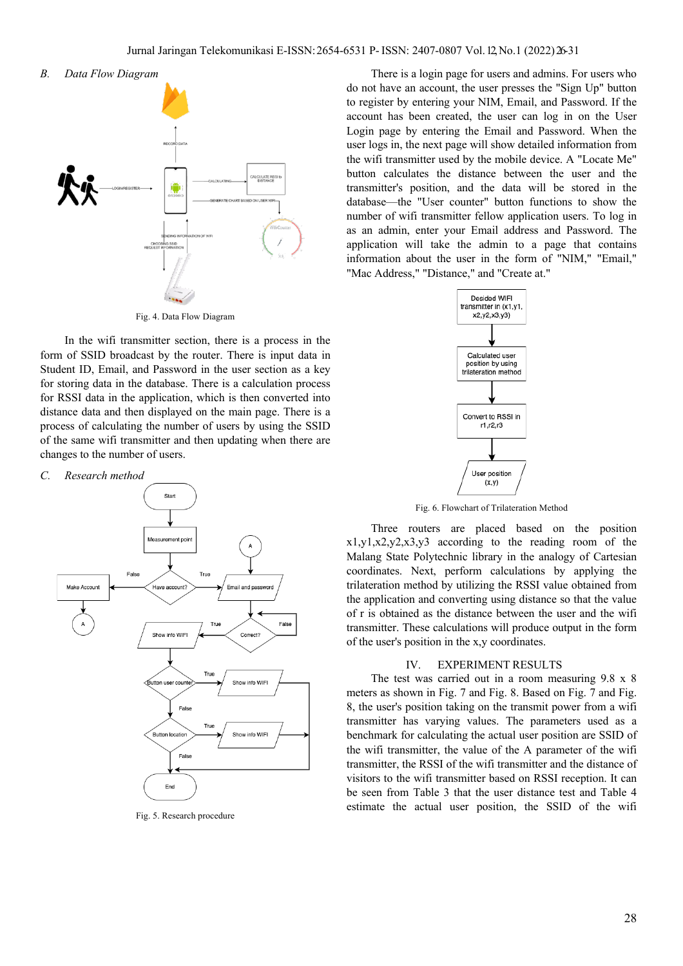



Fig. 4. Data Flow Diagram

In the wifi transmitter section, there is a process in the form of SSID broadcast by the router. There is input data in Student ID, Email, and Password in the user section as a key for storing data in the database. There is a calculation process for RSSI data in the application, which is then converted into distance data and then displayed on the main page. There is a process of calculating the number of users by using the SSID of the same wifi transmitter and then updating when there are changes to the number of users.

*C. Research method*



Fig. 5. Research procedure

There is a login page for users and admins. For users who do not have an account, the user presses the "Sign Up" button to register by entering your NIM, Email, and Password. If the account has been created, the user can log in on the User Login page by entering the Email and Password. When the user logs in, the next page will show detailed information from the wifi transmitter used by the mobile device. A "Locate Me" button calculates the distance between the user and the transmitter's position, and the data will be stored in the database—the "User counter" button functions to show the number of wifi transmitter fellow application users. To log in as an admin, enter your Email address and Password. The application will take the admin to a page that contains information about the user in the form of "NIM," "Email," "Mac Address," "Distance," and "Create at."



Fig. 6. Flowchart of Trilateration Method

Three routers are placed based on the position x1,y1,x2,y2,x3,y3 according to the reading room of the Malang State Polytechnic library in the analogy of Cartesian coordinates. Next, perform calculations by applying the trilateration method by utilizing the RSSI value obtained from the application and converting using distance so that the value of r is obtained as the distance between the user and the wifi transmitter. These calculations will produce output in the form of the user's position in the x,y coordinates.

#### IV. EXPERIMENT RESULTS

The test was carried out in a room measuring 9.8 x 8 meters as shown in Fig. 7 and Fig. 8. Based on Fig. 7 and Fig. 8, the user's position taking on the transmit power from a wifi transmitter has varying values. The parameters used as a benchmark for calculating the actual user position are SSID of the wifi transmitter, the value of the A parameter of the wifi transmitter, the RSSI of the wifi transmitter and the distance of visitors to the wifi transmitter based on RSSI reception. It can be seen from Table 3 that the user distance test and Table 4 estimate the actual user position, the SSID of the wifi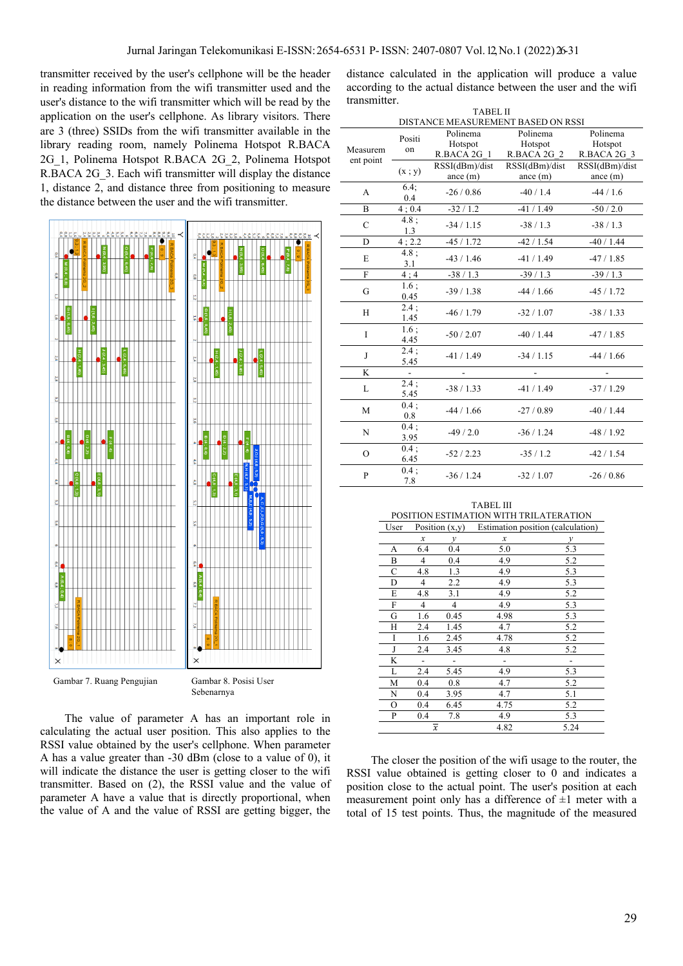transmitter received by the user's cellphone will be the header in reading information from the wifi transmitter used and the user's distance to the wifi transmitter which will be read by the application on the user's cellphone. As library visitors. There are 3 (three) SSIDs from the wifi transmitter available in the library reading room, namely Polinema Hotspot R.BACA 2G\_1, Polinema Hotspot R.BACA 2G\_2, Polinema Hotspot R.BACA 2G 3. Each wifi transmitter will display the distance 1, distance 2, and distance three from positioning to measure the distance between the user and the wifi transmitter.



Gambar 7. Ruang Pengujian Gambar 8. Posisi User

Sebenarnya

The value of parameter A has an important role in calculating the actual user position. This also applies to the RSSI value obtained by the user's cellphone. When parameter A has a value greater than -30 dBm (close to a value of 0), it will indicate the distance the user is getting closer to the wifi transmitter. Based on (2), the RSSI value and the value of parameter A have a value that is directly proportional, when the value of A and the value of RSSI are getting bigger, the

distance calculated in the application will produce a value according to the actual distance between the user and the wifi transmitter.

| <b>TABEL II</b>                    |              |                |                |                |  |
|------------------------------------|--------------|----------------|----------------|----------------|--|
| DISTANCE MEASUREMENT BASED ON RSSI |              |                |                |                |  |
|                                    | Positi       | Polinema       | Polinema       | Polinema       |  |
| Measurem                           |              | Hotspot        | Hotspot        | Hotspot        |  |
|                                    | on           | R.BACA 2G 1    | R.BACA 2G 2    | R.BACA 2G 3    |  |
| ent point                          |              | RSSI(dBm)/dist | RSSI(dBm)/dist | RSSI(dBm)/dist |  |
|                                    | (x; y)       | ance $(m)$     | ance $(m)$     | ance $(m)$     |  |
| A                                  | 6.4:<br>0.4  | $-26/0.86$     | $-40/1.4$      | $-44/1.6$      |  |
| B                                  | 4:0.4        | $-32/1.2$      | $-41/1.49$     | $-50/2.0$      |  |
| $\mathcal{C}$                      | 4.8;<br>1.3  | $-34/1.15$     | $-38/1.3$      | $-38/1.3$      |  |
| D                                  | 4; 2.2       | $-45/1.72$     | $-42/1.54$     | $-40/1.44$     |  |
| E                                  | 4.8;<br>3.1  | $-43/1.46$     | $-41/1.49$     | $-47/1.85$     |  |
| $\mathbf{F}$                       | 4:4          | $-38/1.3$      | $-39/1.3$      | $-39/1.3$      |  |
| G                                  | 1.6:<br>0.45 | $-39/1.38$     | $-44/1.66$     | $-45/1.72$     |  |
| H                                  | 2.4;<br>1.45 | $-46/1.79$     | $-32/1.07$     | $-38/1.33$     |  |
| $\mathbf{I}$                       | 1.6:<br>4.45 | $-50/2.07$     | $-40/1.44$     | $-47/1.85$     |  |
| J                                  | 2.4:<br>5.45 | $-41/1.49$     | $-34/1.15$     | $-44/1.66$     |  |
| K                                  | ÷.           |                |                |                |  |
| L                                  | 2.4:<br>5.45 | $-38/1.33$     | $-41/1.49$     | $-37/1.29$     |  |
| M                                  | 0.4:<br>0.8  | $-44/1.66$     | $-27/0.89$     | $-40/1.44$     |  |
| N                                  | 0.4;<br>3.95 | $-49/2.0$      | $-36/1.24$     | $-48/1.92$     |  |
| $\Omega$                           | 0.4;<br>6.45 | $-52/2.23$     | $-35/1.2$      | $-42/1.54$     |  |
| P                                  | 0.4:<br>7.8  | $-36/1.24$     | $-32/1.07$     | $-26/0.86$     |  |

|      |                  | TABEL III                              |
|------|------------------|----------------------------------------|
|      |                  | POSITION ESTIMATION WITH TRILATERATION |
| User | Position $(x,y)$ | Estimation position (calculation)      |

| ◡◦◡ェ | $1$ Usition $(\lambda, y)$ |                | <b>Examation position</b> (calculation) |               |
|------|----------------------------|----------------|-----------------------------------------|---------------|
|      | $\boldsymbol{x}$           | v              | x                                       | $\mathcal{V}$ |
| А    | 6.4                        | 0.4            | 5.0                                     | 5.3           |
| B    | 4                          | 0.4            | 4.9                                     | 5.2           |
| С    | 4.8                        | 1.3            | 4.9                                     | 5.3           |
| D    | 4                          | 2.2            | 4.9                                     | 5.3           |
| E    | 4.8                        | 3.1            | 4.9                                     | 5.2           |
| F    | 4                          | $\overline{4}$ | 4.9                                     | 5.3           |
| G    | 1.6                        | 0.45           | 4.98                                    | 5.3           |
| Н    | 2.4                        | 1.45           | 4.7                                     | 5.2           |
| I    | 1.6                        | 2.45           | 4.78                                    | 5.2           |
| J    | 2.4                        | 3.45           | 4.8                                     | 5.2           |
| K    |                            |                |                                         |               |
| L    | 2.4                        | 5.45           | 4.9                                     | 5.3           |
| M    | 0.4                        | 0.8            | 4.7                                     | 5.2           |
| N    | 0.4                        | 3.95           | 4.7                                     | 5.1           |
| O    | 0.4                        | 6.45           | 4.75                                    | 5.2           |
| P    | 0.4                        | 7.8            | 4.9                                     | 5.3           |
|      | $\overline{x}$             |                | 4.82                                    | 5.24          |

The closer the position of the wifi usage to the router, the RSSI value obtained is getting closer to 0 and indicates a position close to the actual point. The user's position at each measurement point only has a difference of  $\pm 1$  meter with a total of 15 test points. Thus, the magnitude of the measured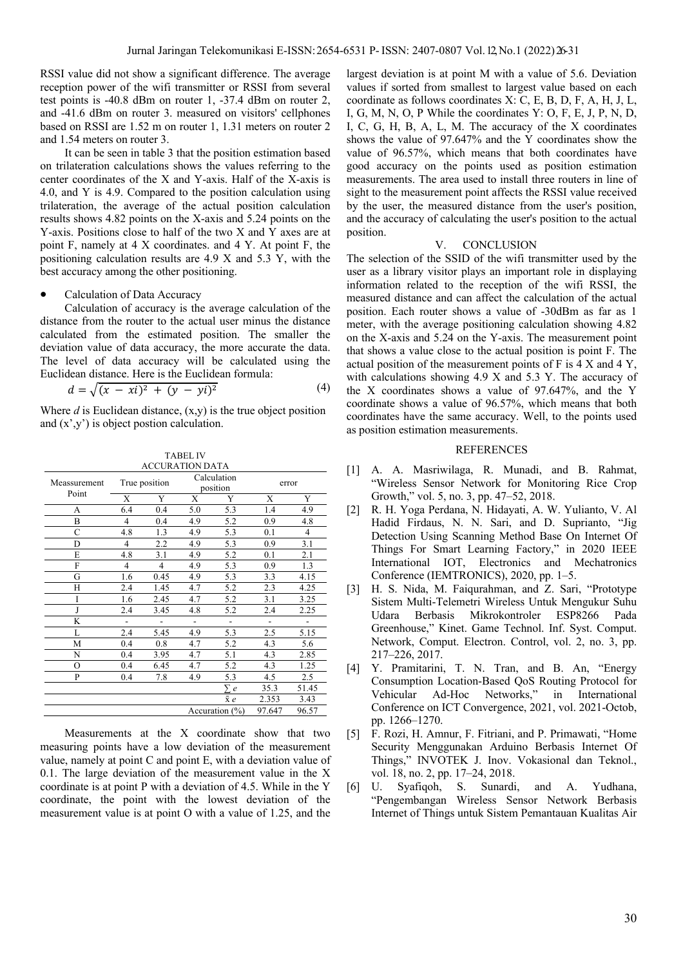RSSI value did not show a significant difference. The average reception power of the wifi transmitter or RSSI from several test points is -40.8 dBm on router 1, -37.4 dBm on router 2, and -41.6 dBm on router 3. measured on visitors' cellphones based on RSSI are 1.52 m on router 1, 1.31 meters on router 2 and 1.54 meters on router 3.

It can be seen in table 3 that the position estimation based on trilateration calculations shows the values referring to the center coordinates of the X and Y-axis. Half of the X-axis is 4.0, and Y is 4.9. Compared to the position calculation using trilateration, the average of the actual position calculation results shows 4.82 points on the X-axis and 5.24 points on the Y-axis. Positions close to half of the two X and Y axes are at point F, namely at 4 X coordinates. and 4 Y. At point F, the positioning calculation results are 4.9 X and 5.3 Y, with the best accuracy among the other positioning.

## Calculation of Data Accuracy

Calculation of accuracy is the average calculation of the distance from the router to the actual user minus the distance calculated from the estimated position. The smaller the deviation value of data accuracy, the more accurate the data. The level of data accuracy will be calculated using the Euclidean distance. Here is the Euclidean formula:

$$
d = \sqrt{(x - xi)^2 + (y - yi)^2}
$$
 (4)

Where  $d$  is Euclidean distance,  $(x,y)$  is the true object position and (x',y') is object postion calculation.

TABEL IV

|                       |                    | <b>ACCURATION DATA</b> | I ADEL I V              |          |        |       |
|-----------------------|--------------------|------------------------|-------------------------|----------|--------|-------|
| Meassurement<br>Point | True position      |                        | Calculation<br>position |          | error  |       |
|                       | X                  | Y                      | X                       | Y        | X      | Y     |
| А                     | 6.4                | 0.4                    | 5.0                     | 5.3      | 1.4    | 4.9   |
| B                     | 4                  | 0.4                    | 4.9                     | 5.2      | 0.9    | 4.8   |
| C                     | 4.8                | 1.3                    | 4.9                     | 5.3      | 0.1    | 4     |
| D                     | 4                  | 2.2                    | 4.9                     | 5.3      | 0.9    | 3.1   |
| E                     | 4.8                | 3.1                    | 4.9                     | 5.2      | 0.1    | 2.1   |
| F                     | $\overline{4}$     | $\overline{4}$         | 4.9                     | 5.3      | 0.9    | 1.3   |
| G                     | 1.6                | 0.45                   | 4.9                     | 5.3      | 3.3    | 4.15  |
| H                     | 2.4                | 1.45                   | 4.7                     | 5.2      | 2.3    | 4.25  |
| I                     | 1.6                | 2.45                   | 4.7                     | 5.2      | 3.1    | 3.25  |
| J                     | 2.4                | 3.45                   | 4.8                     | 5.2      | 2.4    | 2.25  |
| K                     |                    |                        |                         |          |        |       |
| L                     | 2.4                | 5.45                   | 4.9                     | 5.3      | 2.5    | 5.15  |
| М                     | 0.4                | 0.8                    | 4.7                     | 5.2      | 4.3    | 5.6   |
| N                     | 0.4                | 3.95                   | 4.7                     | 5.1      | 4.3    | 2.85  |
| O                     | 0.4                | 6.45                   | 4.7                     | 5.2      | 4.3    | 1.25  |
| P                     | 0.4                | 7.8                    | 4.9                     | 5.3      | 4.5    | 2.5   |
|                       |                    |                        |                         | $\sum e$ | 35.3   | 51.45 |
|                       |                    |                        |                         | хe       | 2.353  | 3.43  |
|                       | Accuration $(\% )$ |                        |                         |          | 97.647 | 96.57 |

Measurements at the X coordinate show that two measuring points have a low deviation of the measurement value, namely at point C and point E, with a deviation value of 0.1. The large deviation of the measurement value in the X coordinate is at point P with a deviation of 4.5. While in the Y coordinate, the point with the lowest deviation of the measurement value is at point O with a value of 1.25, and the

largest deviation is at point M with a value of 5.6. Deviation values if sorted from smallest to largest value based on each coordinate as follows coordinates X: C, E, B, D, F, A, H, J, L, I, G, M, N, O, P While the coordinates Y: O, F, E, J, P, N, D, I, C, G, H, B, A, L, M. The accuracy of the X coordinates shows the value of 97.647% and the Y coordinates show the value of 96.57%, which means that both coordinates have good accuracy on the points used as position estimation measurements. The area used to install three routers in line of sight to the measurement point affects the RSSI value received by the user, the measured distance from the user's position, and the accuracy of calculating the user's position to the actual position.

## V. CONCLUSION

The selection of the SSID of the wifi transmitter used by the user as a library visitor plays an important role in displaying information related to the reception of the wifi RSSI, the measured distance and can affect the calculation of the actual position. Each router shows a value of -30dBm as far as 1 meter, with the average positioning calculation showing 4.82 on the X-axis and 5.24 on the Y-axis. The measurement point that shows a value close to the actual position is point F. The actual position of the measurement points of F is 4 X and 4 Y, with calculations showing 4.9 X and 5.3 Y. The accuracy of the X coordinates shows a value of 97.647%, and the Y coordinate shows a value of 96.57%, which means that both coordinates have the same accuracy. Well, to the points used as position estimation measurements.

#### REFERENCES

- [1] A. A. Masriwilaga, R. Munadi, and B. Rahmat, "Wireless Sensor Network for Monitoring Rice Crop Growth," vol. 5, no. 3, pp. 47–52, 2018.
- [2] R. H. Yoga Perdana, N. Hidayati, A. W. Yulianto, V. Al Hadid Firdaus, N. N. Sari, and D. Suprianto, "Jig Detection Using Scanning Method Base On Internet Of Things For Smart Learning Factory," in 2020 IEEE International IOT, Electronics and Mechatronics Conference (IEMTRONICS), 2020, pp. 1–5.
- [3] H. S. Nida, M. Faiqurahman, and Z. Sari, "Prototype Sistem Multi-Telemetri Wireless Untuk Mengukur Suhu Udara Berbasis Mikrokontroler ESP8266 Pada Greenhouse," Kinet. Game Technol. Inf. Syst. Comput. Network, Comput. Electron. Control, vol. 2, no. 3, pp. 217–226, 2017.
- [4] Y. Pramitarini, T. N. Tran, and B. An, "Energy Consumption Location-Based QoS Routing Protocol for Vehicular Ad-Hoc Networks," in International Conference on ICT Convergence, 2021, vol. 2021-Octob, pp. 1266–1270.
- [5] F. Rozi, H. Amnur, F. Fitriani, and P. Primawati, "Home Security Menggunakan Arduino Berbasis Internet Of Things," INVOTEK J. Inov. Vokasional dan Teknol., vol. 18, no. 2, pp. 17–24, 2018.
- [6] U. Syafiqoh, S. Sunardi, and A. Yudhana, "Pengembangan Wireless Sensor Network Berbasis Internet of Things untuk Sistem Pemantauan Kualitas Air